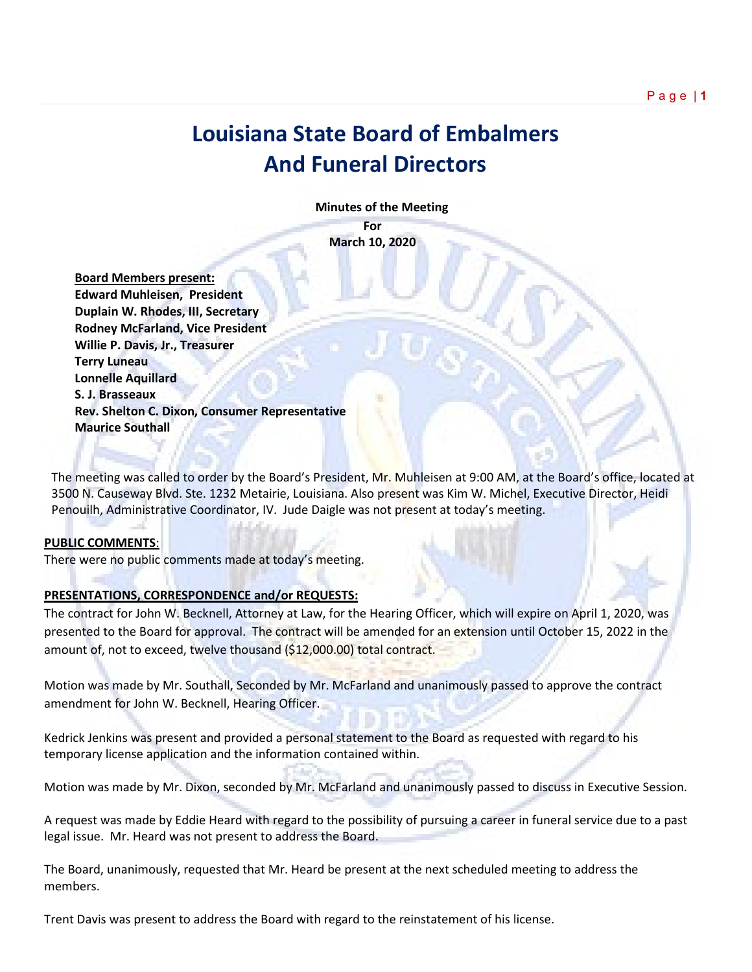## **Louisiana State Board of Embalmers And Funeral Directors**

 **Minutes of the Meeting**

**For March 10, 2020**

 **Board Members present: Edward Muhleisen, President Duplain W. Rhodes, III, Secretary Rodney McFarland, Vice President Willie P. Davis, Jr., Treasurer Terry Luneau Lonnelle Aquillard S. J. Brasseaux Rev. Shelton C. Dixon, Consumer Representative Maurice Southall**

The meeting was called to order by the Board's President, Mr. Muhleisen at 9:00 AM, at the Board's office, located at 3500 N. Causeway Blvd. Ste. 1232 Metairie, Louisiana. Also present was Kim W. Michel, Executive Director, Heidi Penouilh, Administrative Coordinator, IV. Jude Daigle was not present at today's meeting.

## **PUBLIC COMMENTS**:

There were no public comments made at today's meeting.

## **PRESENTATIONS, CORRESPONDENCE and/or REQUESTS:**

The contract for John W. Becknell, Attorney at Law, for the Hearing Officer, which will expire on April 1, 2020, was presented to the Board for approval. The contract will be amended for an extension until October 15, 2022 in the amount of, not to exceed, twelve thousand (\$12,000.00) total contract.

Motion was made by Mr. Southall, Seconded by Mr. McFarland and unanimously passed to approve the contract amendment for John W. Becknell, Hearing Officer.

Kedrick Jenkins was present and provided a personal statement to the Board as requested with regard to his temporary license application and the information contained within.

Motion was made by Mr. Dixon, seconded by Mr. McFarland and unanimously passed to discuss in Executive Session.

A request was made by Eddie Heard with regard to the possibility of pursuing a career in funeral service due to a past legal issue. Mr. Heard was not present to address the Board.

The Board, unanimously, requested that Mr. Heard be present at the next scheduled meeting to address the members.

Trent Davis was present to address the Board with regard to the reinstatement of his license.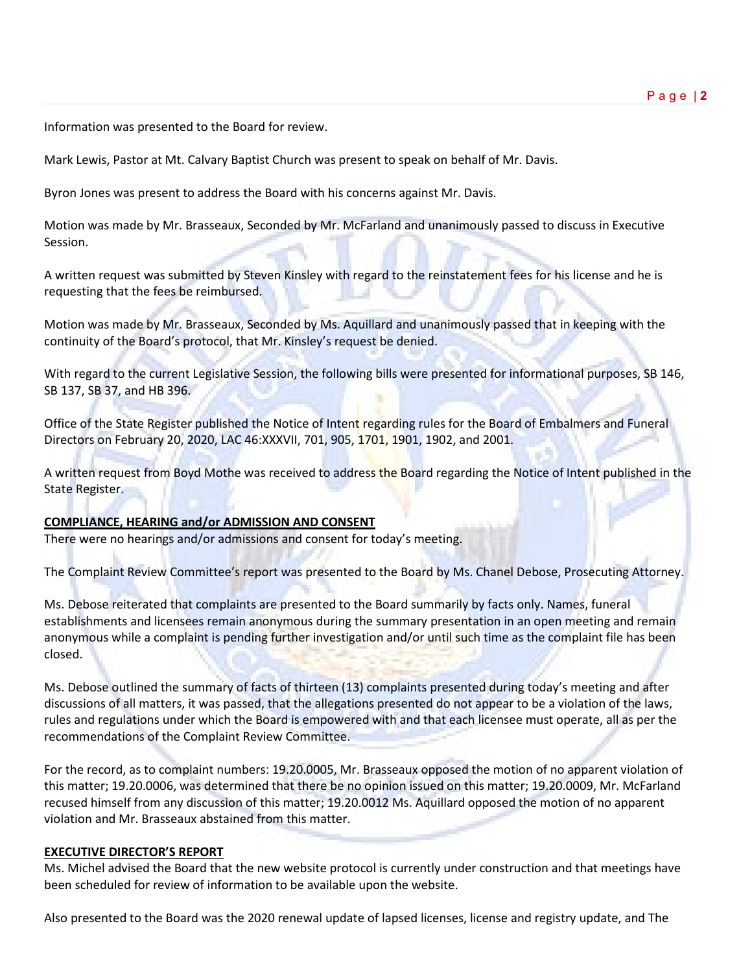Information was presented to the Board for review.

Mark Lewis, Pastor at Mt. Calvary Baptist Church was present to speak on behalf of Mr. Davis.

Byron Jones was present to address the Board with his concerns against Mr. Davis.

Motion was made by Mr. Brasseaux, Seconded by Mr. McFarland and unanimously passed to discuss in Executive Session.

A written request was submitted by Steven Kinsley with regard to the reinstatement fees for his license and he is requesting that the fees be reimbursed.

Motion was made by Mr. Brasseaux, Seconded by Ms. Aquillard and unanimously passed that in keeping with the continuity of the Board's protocol, that Mr. Kinsley's request be denied.

With regard to the current Legislative Session, the following bills were presented for informational purposes, SB 146, SB 137, SB 37, and HB 396.

Office of the State Register published the Notice of Intent regarding rules for the Board of Embalmers and Funeral Directors on February 20, 2020, LAC 46:XXXVII, 701, 905, 1701, 1901, 1902, and 2001.

A written request from Boyd Mothe was received to address the Board regarding the Notice of Intent published in the State Register.

## **COMPLIANCE, HEARING and/or ADMISSION AND CONSENT**

There were no hearings and/or admissions and consent for today's meeting.

The Complaint Review Committee's report was presented to the Board by Ms. Chanel Debose, Prosecuting Attorney.

Ms. Debose reiterated that complaints are presented to the Board summarily by facts only. Names, funeral establishments and licensees remain anonymous during the summary presentation in an open meeting and remain anonymous while a complaint is pending further investigation and/or until such time as the complaint file has been closed.

Ms. Debose outlined the summary of facts of thirteen (13) complaints presented during today's meeting and after discussions of all matters, it was passed, that the allegations presented do not appear to be a violation of the laws, rules and regulations under which the Board is empowered with and that each licensee must operate, all as per the recommendations of the Complaint Review Committee.

For the record, as to complaint numbers: 19.20.0005, Mr. Brasseaux opposed the motion of no apparent violation of this matter; 19.20.0006, was determined that there be no opinion issued on this matter; 19.20.0009, Mr. McFarland recused himself from any discussion of this matter; 19.20.0012 Ms. Aquillard opposed the motion of no apparent violation and Mr. Brasseaux abstained from this matter.

## **EXECUTIVE DIRECTOR'S REPORT**

Ms. Michel advised the Board that the new website protocol is currently under construction and that meetings have been scheduled for review of information to be available upon the website.

Also presented to the Board was the 2020 renewal update of lapsed licenses, license and registry update, and The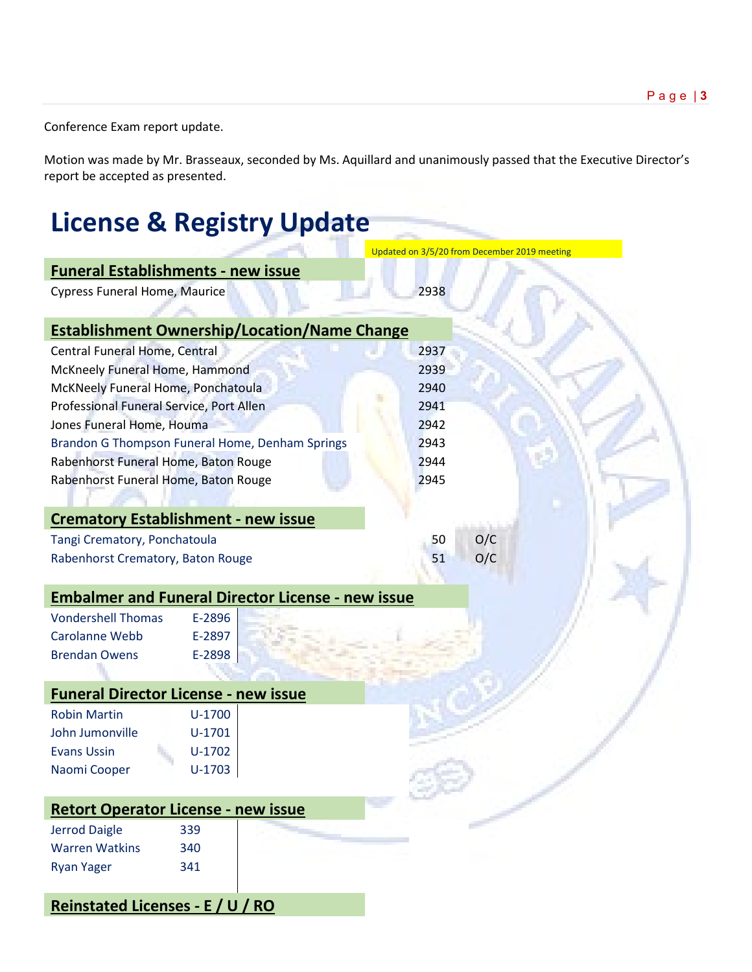Conference Exam report update.

Motion was made by Mr. Brasseaux, seconded by Ms. Aquillard and unanimously passed that the Executive Director's report be accepted as presented.

# **License & Registry Update**

|                                                          | Updated on 3/5/20 from December 2019 meeting |
|----------------------------------------------------------|----------------------------------------------|
| <b>Funeral Establishments - new issue</b>                |                                              |
| <b>Cypress Funeral Home, Maurice</b>                     | 2938                                         |
|                                                          |                                              |
| <b>Establishment Ownership/Location/Name Change</b>      |                                              |
| Central Funeral Home, Central                            | 2937                                         |
| McKneely Funeral Home, Hammond                           | 2939                                         |
| McKNeely Funeral Home, Ponchatoula                       | 2940                                         |
| Professional Funeral Service, Port Allen                 | 2941                                         |
| Jones Funeral Home, Houma                                | 2942                                         |
| Brandon G Thompson Funeral Home, Denham Springs          | 2943                                         |
| Rabenhorst Funeral Home, Baton Rouge                     | 2944                                         |
| Rabenhorst Funeral Home, Baton Rouge                     | 2945                                         |
|                                                          |                                              |
| <b>Crematory Establishment - new issue</b>               |                                              |
| Tangi Crematory, Ponchatoula                             | O/C<br>50                                    |
| Rabenhorst Crematory, Baton Rouge                        | O/C<br>51                                    |
|                                                          |                                              |
| <b>Embalmer and Funeral Director License - new issue</b> |                                              |
| <b>Vondershell Thomas</b><br>E-2896                      |                                              |
| <b>Carolanne Webb</b><br>E-2897                          |                                              |
| <b>Brendan Owens</b><br>E-2898                           |                                              |
|                                                          |                                              |
| <b>Funeral Director License - new issue</b>              |                                              |
| <b>Robin Martin</b><br>$U-1700$                          |                                              |
| John Jumonville<br>$U-1701$                              |                                              |
| <b>Evans Ussin</b><br>$U-1702$                           |                                              |
| $U-1703$<br>Naomi Cooper                                 |                                              |
|                                                          |                                              |
| <b>Retort Operator License - new issue</b>               |                                              |
| <b>Jerrod Daigle</b><br>339                              |                                              |
| <b>Warren Watkins</b><br>340                             |                                              |
| <b>Ryan Yager</b><br>341                                 |                                              |
|                                                          |                                              |
| <b>Reinstated Licenses - E / U / RO</b>                  |                                              |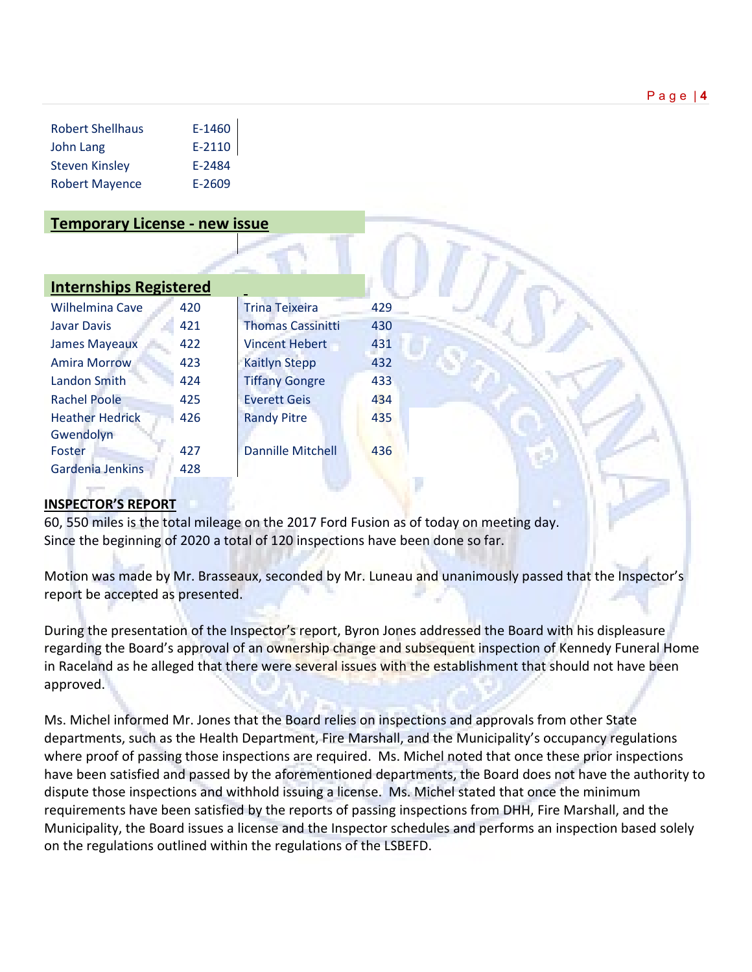| <b>Robert Shellhaus</b> | E-1460   |
|-------------------------|----------|
| John Lang               | $E-2110$ |
| <b>Steven Kinsley</b>   | E-2484   |
| <b>Robert Mayence</b>   | E-2609   |

## **Temporary License - new issue**

| <b>Wilhelmina Cave</b>              | 420 | <b>Trina Teixeira</b>    | 429 |
|-------------------------------------|-----|--------------------------|-----|
| <b>Javar Davis</b>                  | 421 | <b>Thomas Cassinitti</b> | 430 |
| <b>James Mayeaux</b>                | 422 | <b>Vincent Hebert</b>    | 431 |
| <b>Amira Morrow</b>                 | 423 | <b>Kaitlyn Stepp</b>     | 432 |
| Landon Smith                        | 424 | <b>Tiffany Gongre</b>    | 433 |
| <b>Rachel Poole</b>                 | 425 | <b>Everett Geis</b>      | 434 |
| <b>Heather Hedrick</b><br>Gwendolyn | 426 | <b>Randy Pitre</b>       | 435 |
| Foster                              | 427 | <b>Dannille Mitchell</b> | 436 |
| Gardenia Jenkins                    | 428 |                          |     |

## **INSPECTOR'S REPORT**

60, 550 miles is the total mileage on the 2017 Ford Fusion as of today on meeting day. Since the beginning of 2020 a total of 120 inspections have been done so far.

Motion was made by Mr. Brasseaux, seconded by Mr. Luneau and unanimously passed that the Inspector's report be accepted as presented.

During the presentation of the Inspector's report, Byron Jones addressed the Board with his displeasure regarding the Board's approval of an ownership change and subsequent inspection of Kennedy Funeral Home in Raceland as he alleged that there were several issues with the establishment that should not have been approved.

Ms. Michel informed Mr. Jones that the Board relies on inspections and approvals from other State departments, such as the Health Department, Fire Marshall, and the Municipality's occupancy regulations where proof of passing those inspections are required. Ms. Michel noted that once these prior inspections have been satisfied and passed by the aforementioned departments, the Board does not have the authority to dispute those inspections and withhold issuing a license. Ms. Michel stated that once the minimum requirements have been satisfied by the reports of passing inspections from DHH, Fire Marshall, and the Municipality, the Board issues a license and the Inspector schedules and performs an inspection based solely on the regulations outlined within the regulations of the LSBEFD.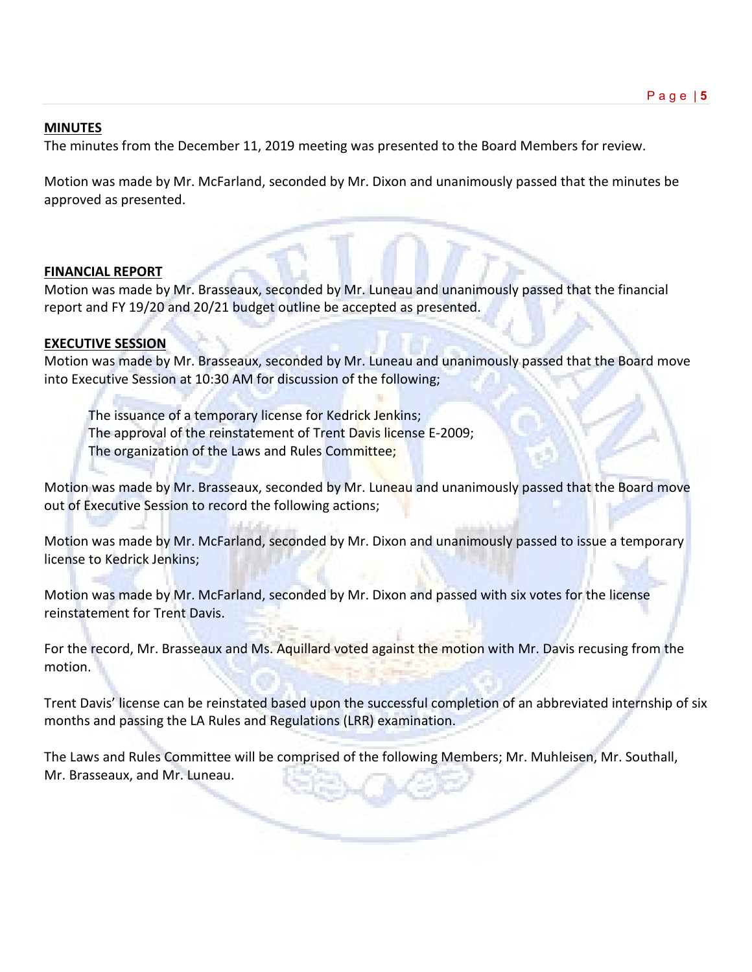## **MINUTES**

The minutes from the December 11, 2019 meeting was presented to the Board Members for review.

Motion was made by Mr. McFarland, seconded by Mr. Dixon and unanimously passed that the minutes be approved as presented.

## **FINANCIAL REPORT**

Motion was made by Mr. Brasseaux, seconded by Mr. Luneau and unanimously passed that the financial report and FY 19/20 and 20/21 budget outline be accepted as presented.

## **EXECUTIVE SESSION**

Motion was made by Mr. Brasseaux, seconded by Mr. Luneau and unanimously passed that the Board move into Executive Session at 10:30 AM for discussion of the following;

The issuance of a temporary license for Kedrick Jenkins; The approval of the reinstatement of Trent Davis license E-2009; The organization of the Laws and Rules Committee;

Motion was made by Mr. Brasseaux, seconded by Mr. Luneau and unanimously passed that the Board move out of Executive Session to record the following actions;

Motion was made by Mr. McFarland, seconded by Mr. Dixon and unanimously passed to issue a temporary license to Kedrick Jenkins;

Motion was made by Mr. McFarland, seconded by Mr. Dixon and passed with six votes for the license reinstatement for Trent Davis.

For the record, Mr. Brasseaux and Ms. Aquillard voted against the motion with Mr. Davis recusing from the motion.

Trent Davis' license can be reinstated based upon the successful completion of an abbreviated internship of six months and passing the LA Rules and Regulations (LRR) examination.

The Laws and Rules Committee will be comprised of the following Members; Mr. Muhleisen, Mr. Southall, Mr. Brasseaux, and Mr. Luneau.